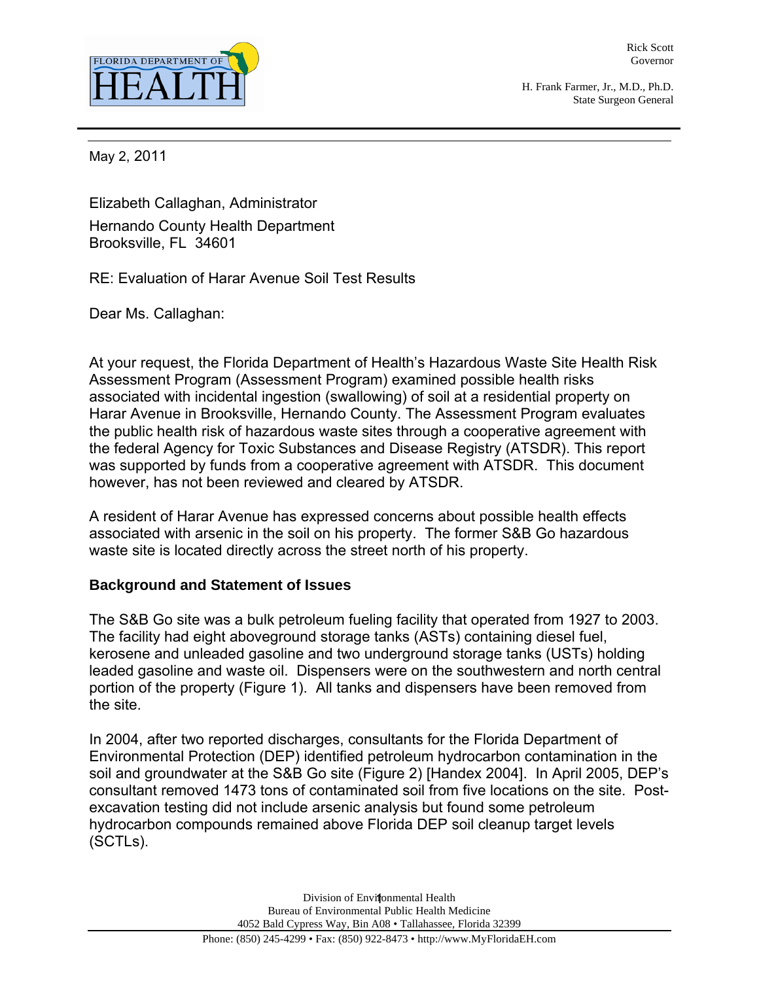

Rick Scott Governor

H. Frank Farmer, Jr., M.D., Ph.D. State Surgeon General

May 2, 2011

Elizabeth Callaghan, Administrator Hernando County Health Department Brooksville, FL 34601

RE: Evaluation of Harar Avenue Soil Test Results

Dear Ms. Callaghan:

At your request, the Florida Department of Health's Hazardous Waste Site Health Risk Assessment Program (Assessment Program) examined possible health risks associated with incidental ingestion (swallowing) of soil at a residential property on Harar Avenue in Brooksville, Hernando County. The Assessment Program evaluates the public health risk of hazardous waste sites through a cooperative agreement with the federal Agency for Toxic Substances and Disease Registry (ATSDR). This report was supported by funds from a cooperative agreement with ATSDR. This document however, has not been reviewed and cleared by ATSDR.

A resident of Harar Avenue has expressed concerns about possible health effects associated with arsenic in the soil on his property. The former S&B Go hazardous waste site is located directly across the street north of his property.

# **Background and Statement of Issues**

The S&B Go site was a bulk petroleum fueling facility that operated from 1927 to 2003. The facility had eight aboveground storage tanks (ASTs) containing diesel fuel, kerosene and unleaded gasoline and two underground storage tanks (USTs) holding leaded gasoline and waste oil. Dispensers were on the southwestern and north central portion of the property (Figure 1). All tanks and dispensers have been removed from the site.

In 2004, after two reported discharges, consultants for the Florida Department of Environmental Protection (DEP) identified petroleum hydrocarbon contamination in the soil and groundwater at the S&B Go site (Figure 2) [Handex 2004]. In April 2005, DEP's consultant removed 1473 tons of contaminated soil from five locations on the site. Postexcavation testing did not include arsenic analysis but found some petroleum hydrocarbon compounds remained above Florida DEP soil cleanup target levels (SCTLs).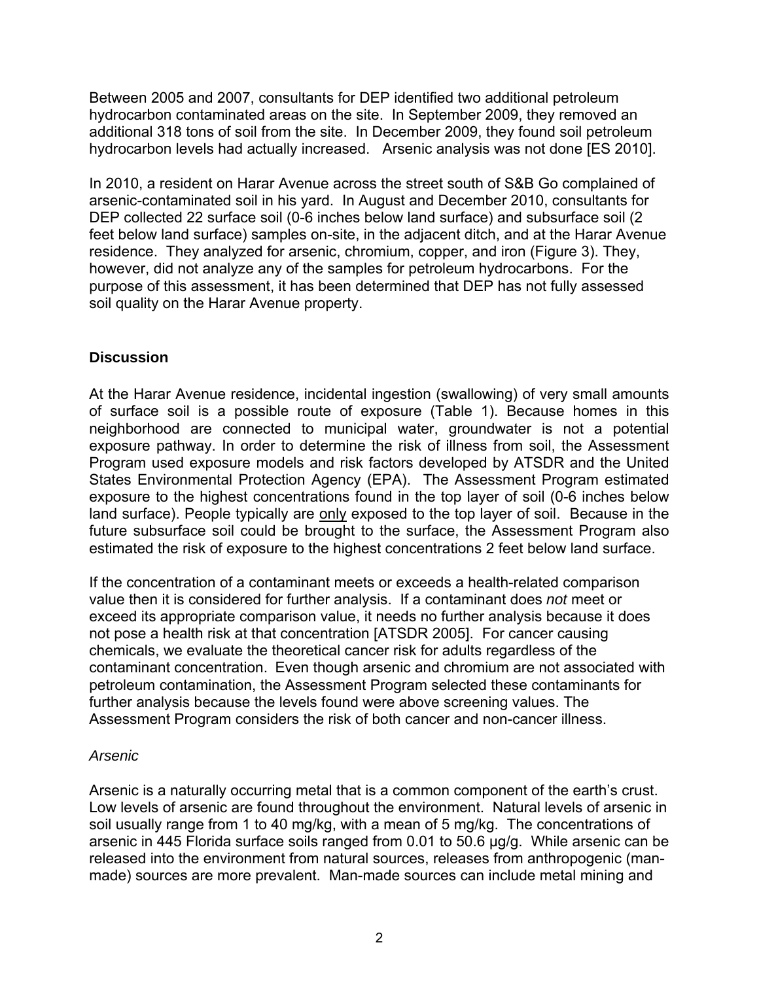Between 2005 and 2007, consultants for DEP identified two additional petroleum hydrocarbon contaminated areas on the site. In September 2009, they removed an additional 318 tons of soil from the site. In December 2009, they found soil petroleum hydrocarbon levels had actually increased. Arsenic analysis was not done [ES 2010].

In 2010, a resident on Harar Avenue across the street south of S&B Go complained of arsenic-contaminated soil in his yard. In August and December 2010, consultants for DEP collected 22 surface soil (0-6 inches below land surface) and subsurface soil (2 feet below land surface) samples on-site, in the adjacent ditch, and at the Harar Avenue residence. They analyzed for arsenic, chromium, copper, and iron (Figure 3). They, however, did not analyze any of the samples for petroleum hydrocarbons. For the purpose of this assessment, it has been determined that DEP has not fully assessed soil quality on the Harar Avenue property.

# **Discussion**

At the Harar Avenue residence, incidental ingestion (swallowing) of very small amounts of surface soil is a possible route of exposure (Table 1). Because homes in this neighborhood are connected to municipal water, groundwater is not a potential exposure pathway. In order to determine the risk of illness from soil, the Assessment Program used exposure models and risk factors developed by ATSDR and the United States Environmental Protection Agency (EPA). The Assessment Program estimated exposure to the highest concentrations found in the top layer of soil (0-6 inches below land surface). People typically are only exposed to the top layer of soil. Because in the future subsurface soil could be brought to the surface, the Assessment Program also estimated the risk of exposure to the highest concentrations 2 feet below land surface.

If the concentration of a contaminant meets or exceeds a health-related comparison value then it is considered for further analysis. If a contaminant does *not* meet or exceed its appropriate comparison value, it needs no further analysis because it does not pose a health risk at that concentration [ATSDR 2005]. For cancer causing chemicals, we evaluate the theoretical cancer risk for adults regardless of the contaminant concentration. Even though arsenic and chromium are not associated with petroleum contamination, the Assessment Program selected these contaminants for further analysis because the levels found were above screening values. The Assessment Program considers the risk of both cancer and non-cancer illness.

# *Arsenic*

Arsenic is a naturally occurring metal that is a common component of the earth's crust. Low levels of arsenic are found throughout the environment. Natural levels of arsenic in soil usually range from 1 to 40 mg/kg, with a mean of 5 mg/kg. The concentrations of arsenic in 445 Florida surface soils ranged from 0.01 to 50.6 μg/g. While arsenic can be released into the environment from natural sources, releases from anthropogenic (manmade) sources are more prevalent. Man-made sources can include metal mining and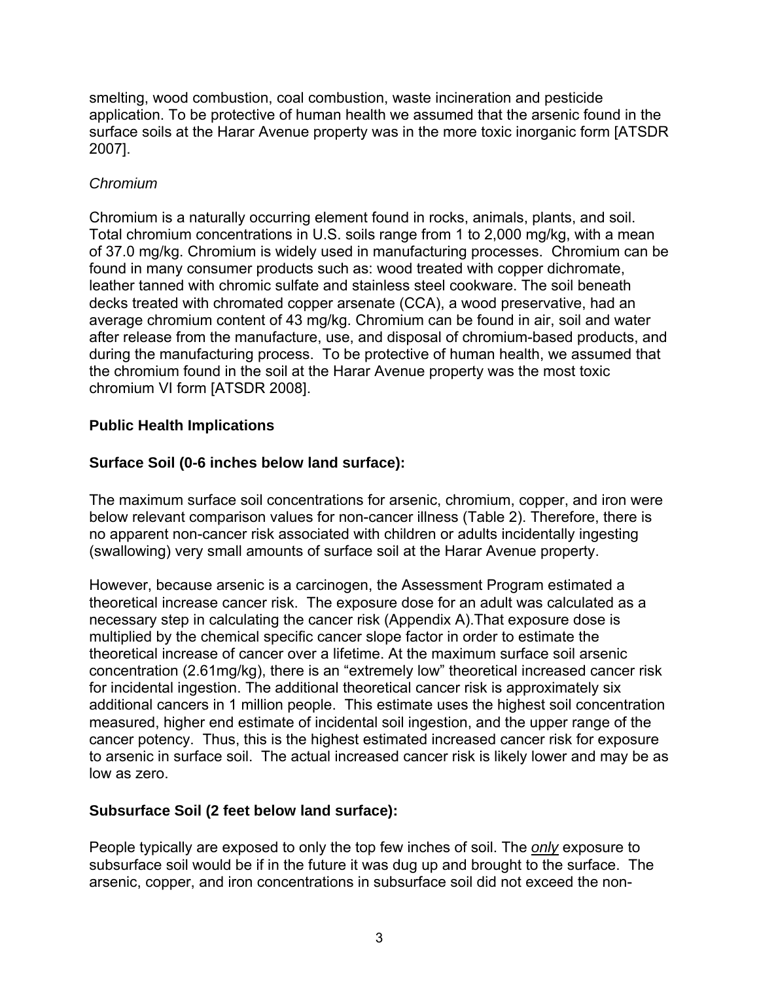smelting, wood combustion, coal combustion, waste incineration and pesticide application. To be protective of human health we assumed that the arsenic found in the surface soils at the Harar Avenue property was in the more toxic inorganic form [ATSDR 2007].

# *Chromium*

Chromium is a naturally occurring element found in rocks, animals, plants, and soil. Total chromium concentrations in U.S. soils range from 1 to 2,000 mg/kg, with a mean of 37.0 mg/kg. Chromium is widely used in manufacturing processes. Chromium can be found in many consumer products such as: wood treated with copper dichromate, leather tanned with chromic sulfate and stainless steel cookware. The soil beneath decks treated with chromated copper arsenate (CCA), a wood preservative, had an average chromium content of 43 mg/kg. Chromium can be found in air, soil and water after release from the manufacture, use, and disposal of chromium-based products, and during the manufacturing process. To be protective of human health, we assumed that the chromium found in the soil at the Harar Avenue property was the most toxic chromium VI form [ATSDR 2008].

# **Public Health Implications**

# **Surface Soil (0-6 inches below land surface):**

The maximum surface soil concentrations for arsenic, chromium, copper, and iron were below relevant comparison values for non-cancer illness (Table 2). Therefore, there is no apparent non-cancer risk associated with children or adults incidentally ingesting (swallowing) very small amounts of surface soil at the Harar Avenue property.

However, because arsenic is a carcinogen, the Assessment Program estimated a theoretical increase cancer risk. The exposure dose for an adult was calculated as a necessary step in calculating the cancer risk (Appendix A).That exposure dose is multiplied by the chemical specific cancer slope factor in order to estimate the theoretical increase of cancer over a lifetime. At the maximum surface soil arsenic concentration (2.61mg/kg), there is an "extremely low" theoretical increased cancer risk for incidental ingestion. The additional theoretical cancer risk is approximately six additional cancers in 1 million people. This estimate uses the highest soil concentration measured, higher end estimate of incidental soil ingestion, and the upper range of the cancer potency. Thus, this is the highest estimated increased cancer risk for exposure to arsenic in surface soil. The actual increased cancer risk is likely lower and may be as low as zero.

# **Subsurface Soil (2 feet below land surface):**

People typically are exposed to only the top few inches of soil. The *only* exposure to subsurface soil would be if in the future it was dug up and brought to the surface. The arsenic, copper, and iron concentrations in subsurface soil did not exceed the non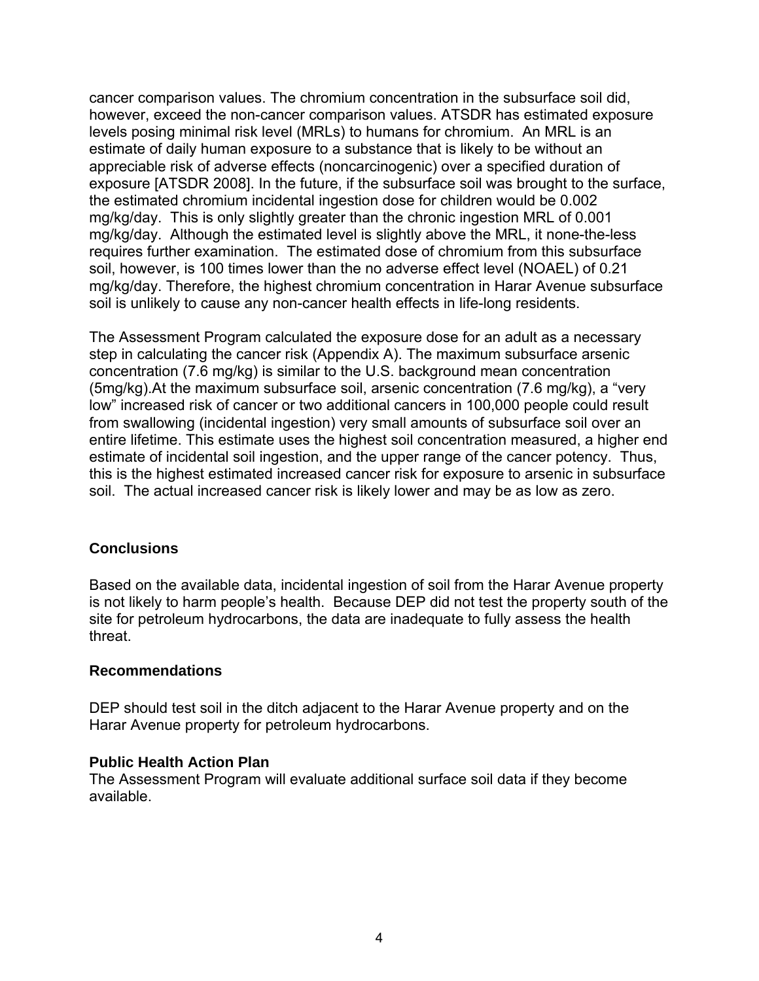cancer comparison values. The chromium concentration in the subsurface soil did, however, exceed the non-cancer comparison values. ATSDR has estimated exposure levels posing minimal risk level (MRLs) to humans for chromium. An MRL is an estimate of daily human exposure to a substance that is likely to be without an appreciable risk of adverse effects (noncarcinogenic) over a specified duration of exposure [ATSDR 2008]. In the future, if the subsurface soil was brought to the surface, the estimated chromium incidental ingestion dose for children would be 0.002 mg/kg/day. This is only slightly greater than the chronic ingestion MRL of 0.001 mg/kg/day. Although the estimated level is slightly above the MRL, it none-the-less requires further examination. The estimated dose of chromium from this subsurface soil, however, is 100 times lower than the no adverse effect level (NOAEL) of 0.21 mg/kg/day. Therefore, the highest chromium concentration in Harar Avenue subsurface soil is unlikely to cause any non-cancer health effects in life-long residents.

The Assessment Program calculated the exposure dose for an adult as a necessary step in calculating the cancer risk (Appendix A). The maximum subsurface arsenic concentration (7.6 mg/kg) is similar to the U.S. background mean concentration (5mg/kg).At the maximum subsurface soil, arsenic concentration (7.6 mg/kg), a "very low" increased risk of cancer or two additional cancers in 100,000 people could result from swallowing (incidental ingestion) very small amounts of subsurface soil over an entire lifetime. This estimate uses the highest soil concentration measured, a higher end estimate of incidental soil ingestion, and the upper range of the cancer potency. Thus, this is the highest estimated increased cancer risk for exposure to arsenic in subsurface soil. The actual increased cancer risk is likely lower and may be as low as zero.

# **Conclusions**

Based on the available data, incidental ingestion of soil from the Harar Avenue property is not likely to harm people's health. Because DEP did not test the property south of the site for petroleum hydrocarbons, the data are inadequate to fully assess the health threat.

# **Recommendations**

DEP should test soil in the ditch adjacent to the Harar Avenue property and on the Harar Avenue property for petroleum hydrocarbons.

# **Public Health Action Plan**

The Assessment Program will evaluate additional surface soil data if they become available.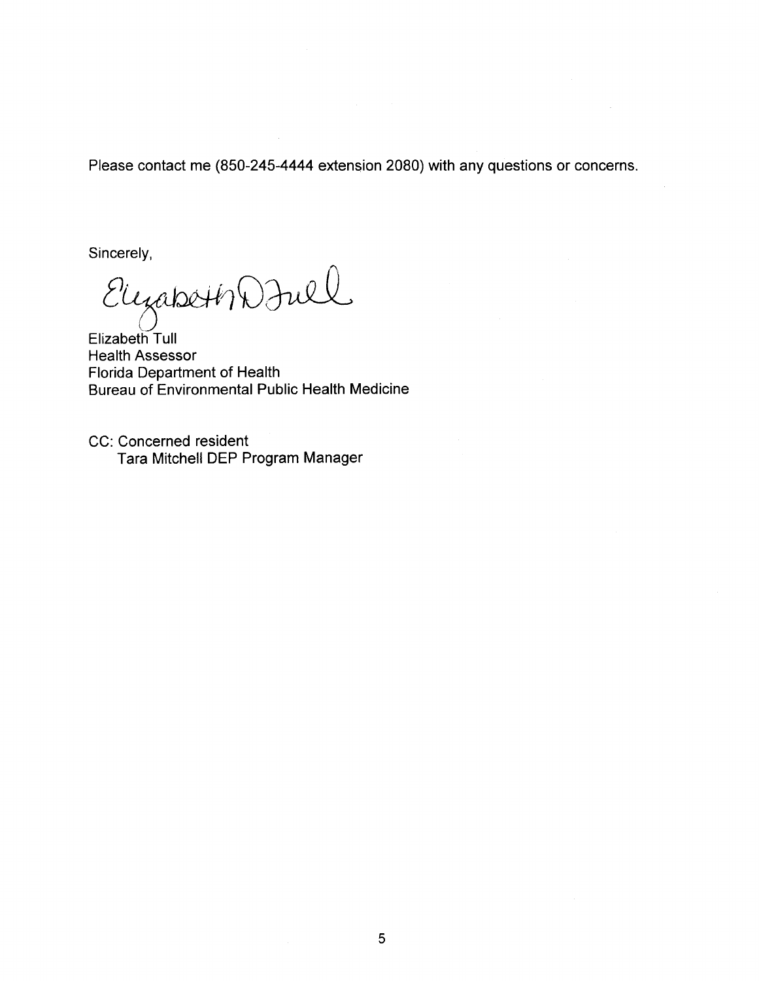Please contact me (850-245-4444 extension 2080) with any questions or concerns.

Sincerely,

ElyabethDFull

Elizabeth Tull Health Assessor Florida Department of Health Bureau of Environmental Public Health Medicine

CC: Concerned resident Tara Mitchell DEP Program Manager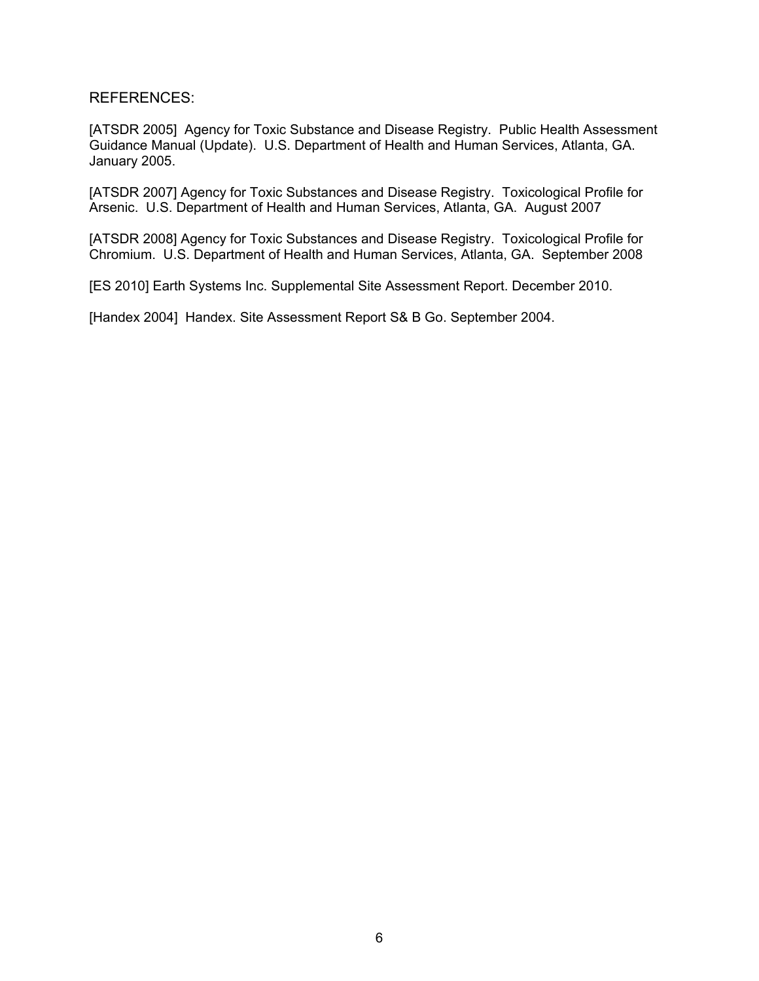REFERENCES:

[ATSDR 2005] Agency for Toxic Substance and Disease Registry. Public Health Assessment Guidance Manual (Update). U.S. Department of Health and Human Services, Atlanta, GA. January 2005.

[ATSDR 2007] Agency for Toxic Substances and Disease Registry. Toxicological Profile for Arsenic. U.S. Department of Health and Human Services, Atlanta, GA. August 2007

[ATSDR 2008] Agency for Toxic Substances and Disease Registry. Toxicological Profile for Chromium. U.S. Department of Health and Human Services, Atlanta, GA. September 2008

[ES 2010] Earth Systems Inc. Supplemental Site Assessment Report. December 2010.

[Handex 2004] Handex. Site Assessment Report S& B Go. September 2004.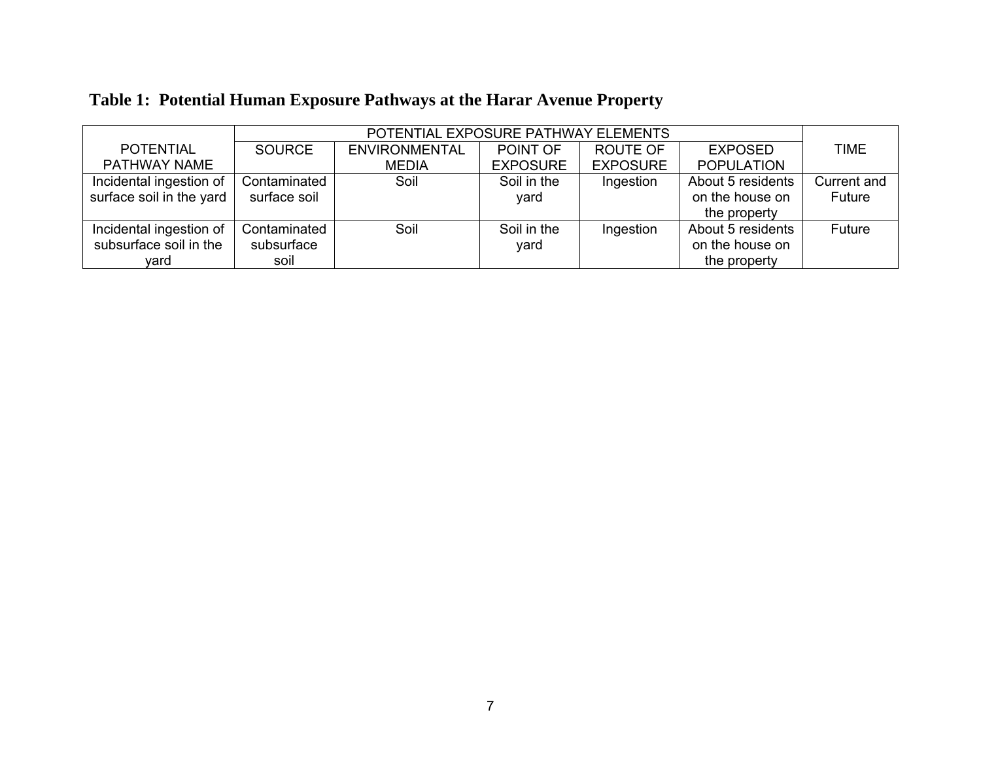|                          | POTENTIAL EXPOSURE PATHWAY ELEMENTS |                      |                 |                 |                   |             |
|--------------------------|-------------------------------------|----------------------|-----------------|-----------------|-------------------|-------------|
| <b>POTENTIAL</b>         | <b>SOURCE</b>                       | <b>ENVIRONMENTAL</b> | POINT OF        | <b>ROUTE OF</b> | <b>EXPOSED</b>    | <b>TIME</b> |
| <b>PATHWAY NAME</b>      |                                     | <b>MEDIA</b>         | <b>EXPOSURE</b> | <b>EXPOSURE</b> | <b>POPULATION</b> |             |
| Incidental ingestion of  | Contaminated                        | Soil                 | Soil in the     | Ingestion       | About 5 residents | Current and |
| surface soil in the yard | surface soil                        |                      | yard            |                 | on the house on   | Future      |
|                          |                                     |                      |                 |                 | the property      |             |
| Incidental ingestion of  | Contaminated                        | Soil                 | Soil in the     | Ingestion       | About 5 residents | Future      |
| subsurface soil in the   | subsurface                          |                      | yard            |                 | on the house on   |             |
| vard                     | soil                                |                      |                 |                 | the property      |             |

# **Table 1: Potential Human Exposure Pathways at the Harar Avenue Property**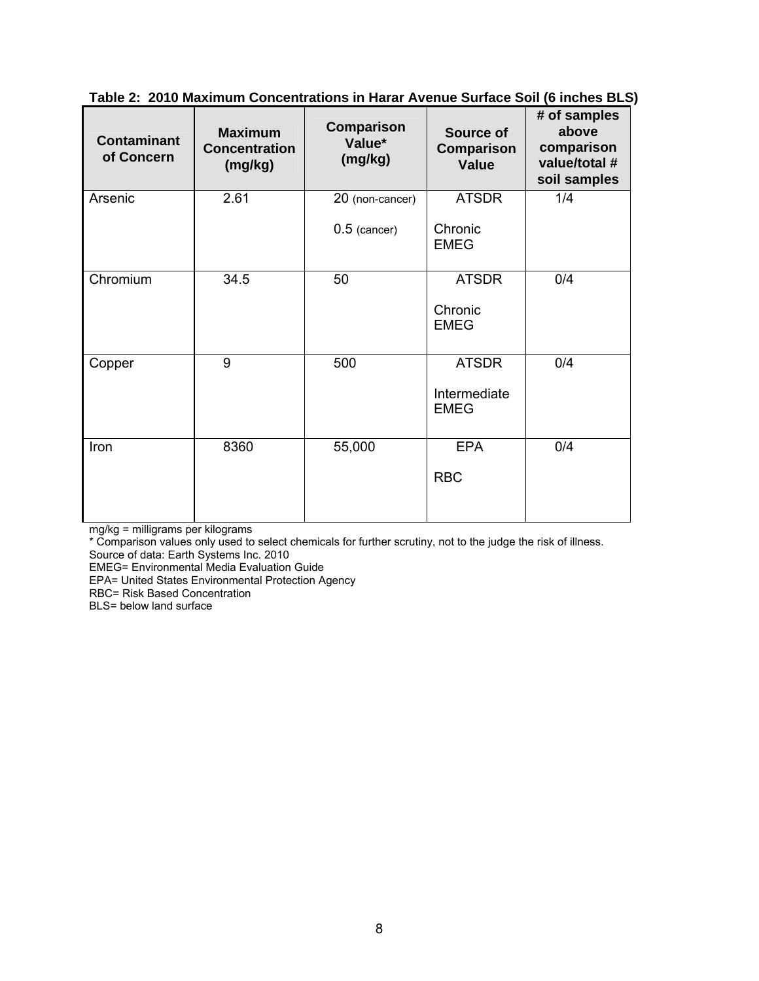|  | Table 2: 2010 Maximum Concentrations in Harar Avenue Surface Soil (6 inches BLS) |  |  |  |
|--|----------------------------------------------------------------------------------|--|--|--|
|  |                                                                                  |  |  |  |

| <b>Contaminant</b><br>of Concern | <b>Maximum</b><br><b>Concentration</b><br>(mg/kg) | Comparison<br>Value*<br>(mg/kg) | Source of<br>Comparison<br><b>Value</b> | # of samples<br>above<br>comparison<br>value/total #<br>soil samples |
|----------------------------------|---------------------------------------------------|---------------------------------|-----------------------------------------|----------------------------------------------------------------------|
| Arsenic                          | 2.61                                              | 20 (non-cancer)                 | <b>ATSDR</b>                            | 1/4                                                                  |
|                                  |                                                   | $0.5$ (cancer)                  | Chronic<br><b>EMEG</b>                  |                                                                      |
| Chromium                         | 34.5                                              | 50                              | <b>ATSDR</b>                            | 0/4                                                                  |
|                                  |                                                   |                                 | Chronic<br><b>EMEG</b>                  |                                                                      |
| Copper                           | 9                                                 | 500                             | <b>ATSDR</b>                            | 0/4                                                                  |
|                                  |                                                   |                                 | Intermediate<br><b>EMEG</b>             |                                                                      |
| Iron                             | 8360                                              | 55,000                          | <b>EPA</b>                              | 0/4                                                                  |
|                                  |                                                   |                                 | <b>RBC</b>                              |                                                                      |

mg/kg = milligrams per kilograms

\* Comparison values only used to select chemicals for further scrutiny, not to the judge the risk of illness.

Source of data: Earth Systems Inc. 2010

EMEG= Environmental Media Evaluation Guide

EPA= United States Environmental Protection Agency

RBC= Risk Based Concentration

BLS= below land surface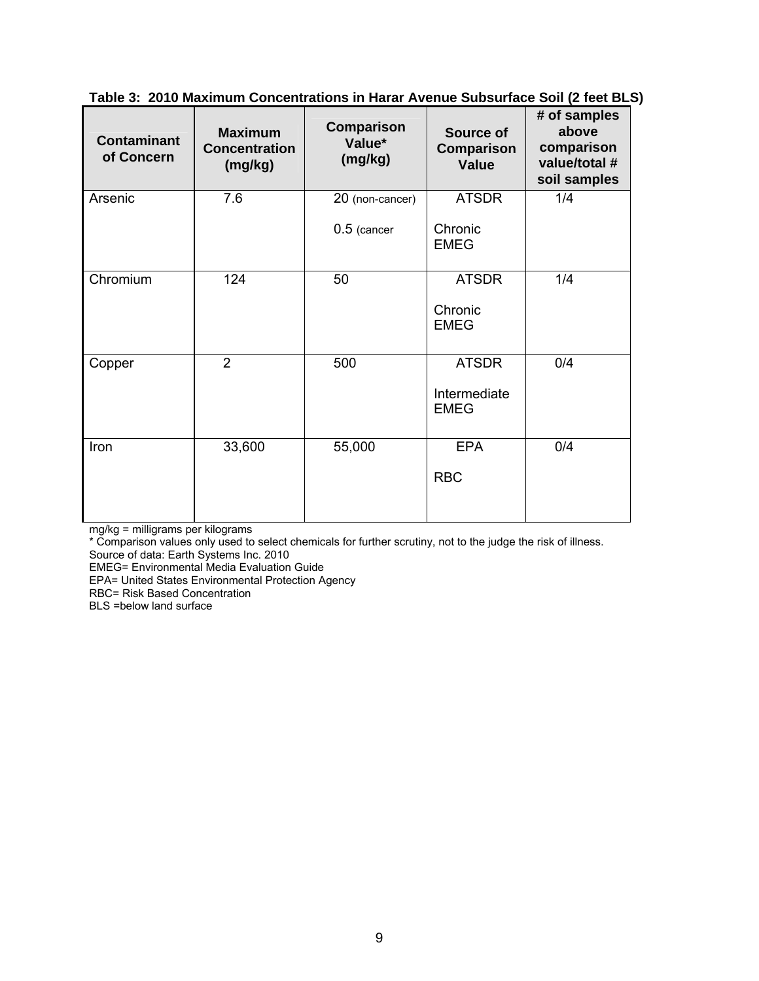| <b>Contaminant</b><br>of Concern | <b>Maximum</b><br><b>Concentration</b><br>(mg/kg) | Comparison<br>Value*<br>(mg/kg) | Source of<br>Comparison<br><b>Value</b> | # of samples<br>above<br>comparison<br>value/total #<br>soil samples |
|----------------------------------|---------------------------------------------------|---------------------------------|-----------------------------------------|----------------------------------------------------------------------|
| Arsenic                          | 7.6                                               | 20 (non-cancer)                 | <b>ATSDR</b>                            | 1/4                                                                  |
|                                  |                                                   | $0.5$ (cancer                   | Chronic<br><b>EMEG</b>                  |                                                                      |
| Chromium                         | 124                                               | 50                              | <b>ATSDR</b>                            | 1/4                                                                  |
|                                  |                                                   |                                 | Chronic<br><b>EMEG</b>                  |                                                                      |
| Copper                           | $\overline{2}$                                    | 500                             | <b>ATSDR</b>                            | 0/4                                                                  |
|                                  |                                                   |                                 | Intermediate<br><b>EMEG</b>             |                                                                      |
| Iron                             | 33,600                                            | 55,000                          | <b>EPA</b>                              | 0/4                                                                  |
|                                  |                                                   |                                 | <b>RBC</b>                              |                                                                      |

**Table 3: 2010 Maximum Concentrations in Harar Avenue Subsurface Soil (2 feet BLS)** 

mg/kg = milligrams per kilograms

\* Comparison values only used to select chemicals for further scrutiny, not to the judge the risk of illness.

Source of data: Earth Systems Inc. 2010 EMEG= Environmental Media Evaluation Guide

EPA= United States Environmental Protection Agency

RBC= Risk Based Concentration

BLS =below land surface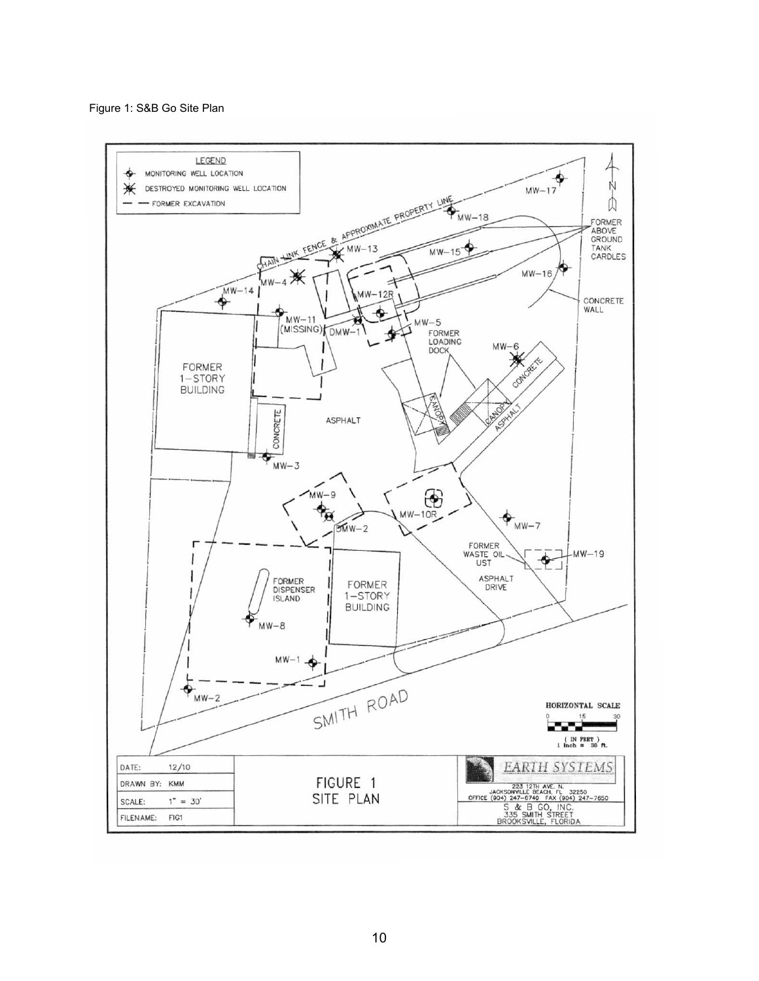Figure 1: S&B Go Site Plan

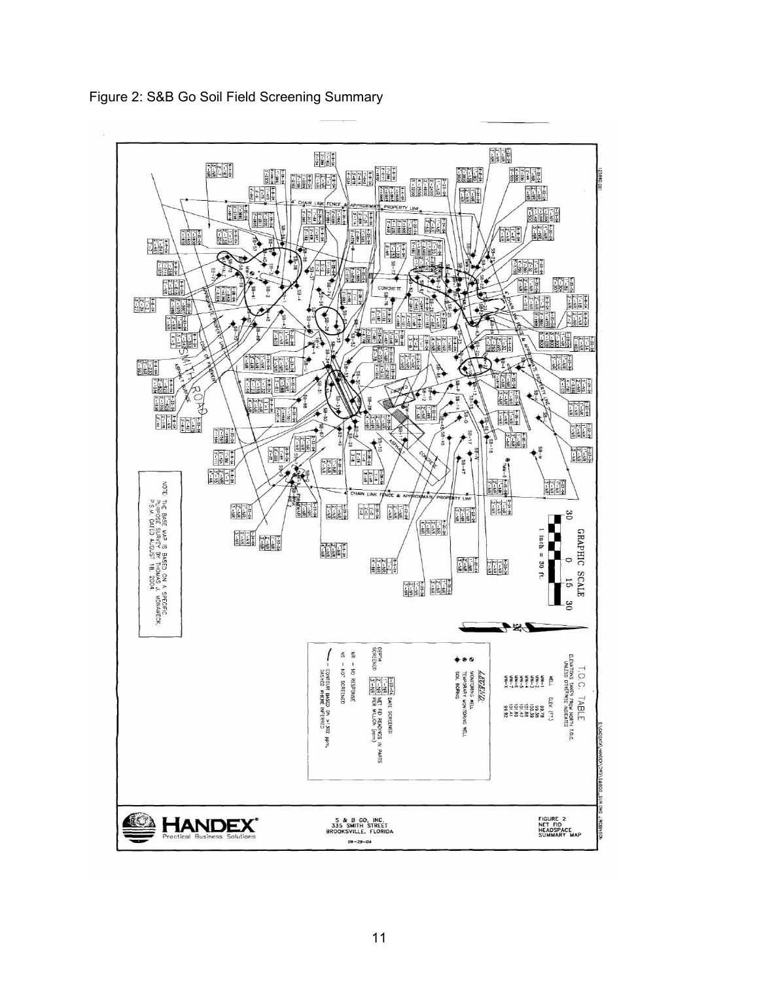

Figure 2: S&B Go Soil Field Screening Summary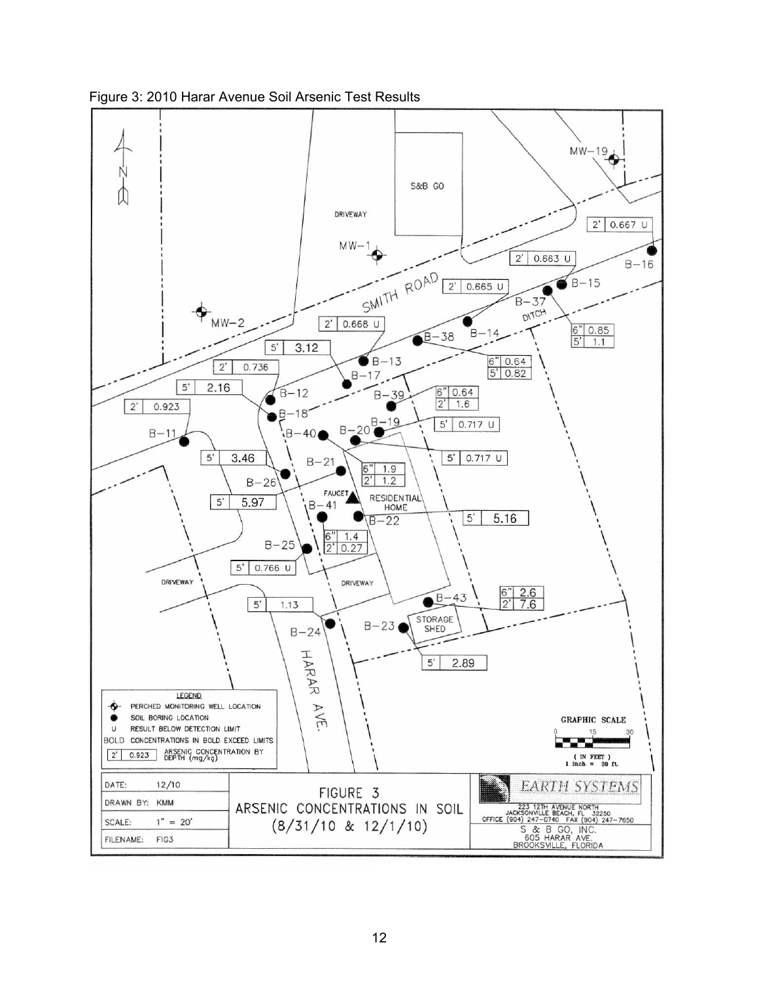

Figure 3: 2010 Harar Avenue Soil Arsenic Test Results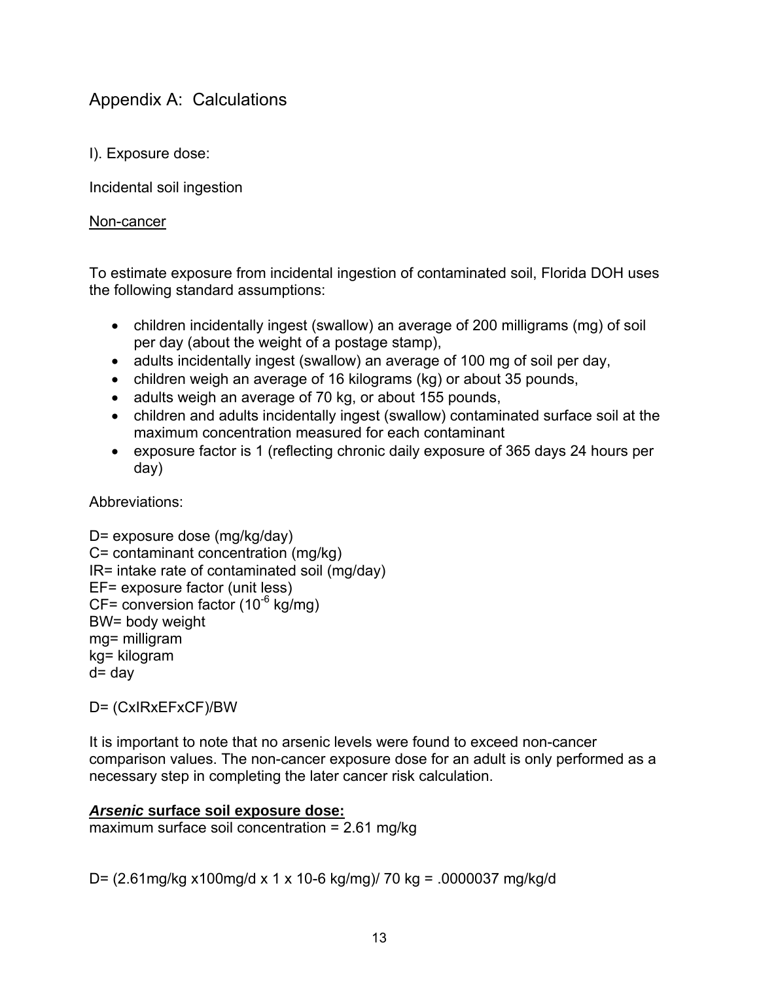# Appendix A: Calculations

I). Exposure dose:

Incidental soil ingestion

# Non-cancer

To estimate exposure from incidental ingestion of contaminated soil, Florida DOH uses the following standard assumptions:

- children incidentally ingest (swallow) an average of 200 milligrams (mg) of soil per day (about the weight of a postage stamp),
- adults incidentally ingest (swallow) an average of 100 mg of soil per day,
- children weigh an average of 16 kilograms (kg) or about 35 pounds,
- adults weigh an average of 70 kg, or about 155 pounds,
- children and adults incidentally ingest (swallow) contaminated surface soil at the maximum concentration measured for each contaminant
- exposure factor is 1 (reflecting chronic daily exposure of 365 days 24 hours per day)

Abbreviations:

D= exposure dose (mg/kg/day) C= contaminant concentration (mg/kg) IR= intake rate of contaminated soil (mg/day) EF= exposure factor (unit less)  $CF=$  conversion factor (10<sup>-6</sup> kg/mg) BW= body weight mg= milligram kg= kilogram d= day

D= (CxIRxEFxCF)/BW

It is important to note that no arsenic levels were found to exceed non-cancer comparison values. The non-cancer exposure dose for an adult is only performed as a necessary step in completing the later cancer risk calculation.

# *Arsenic* **surface soil exposure dose:**

maximum surface soil concentration = 2.61 mg/kg

D= (2.61mg/kg x100mg/d x 1 x 10-6 kg/mg)/ 70 kg = .0000037 mg/kg/d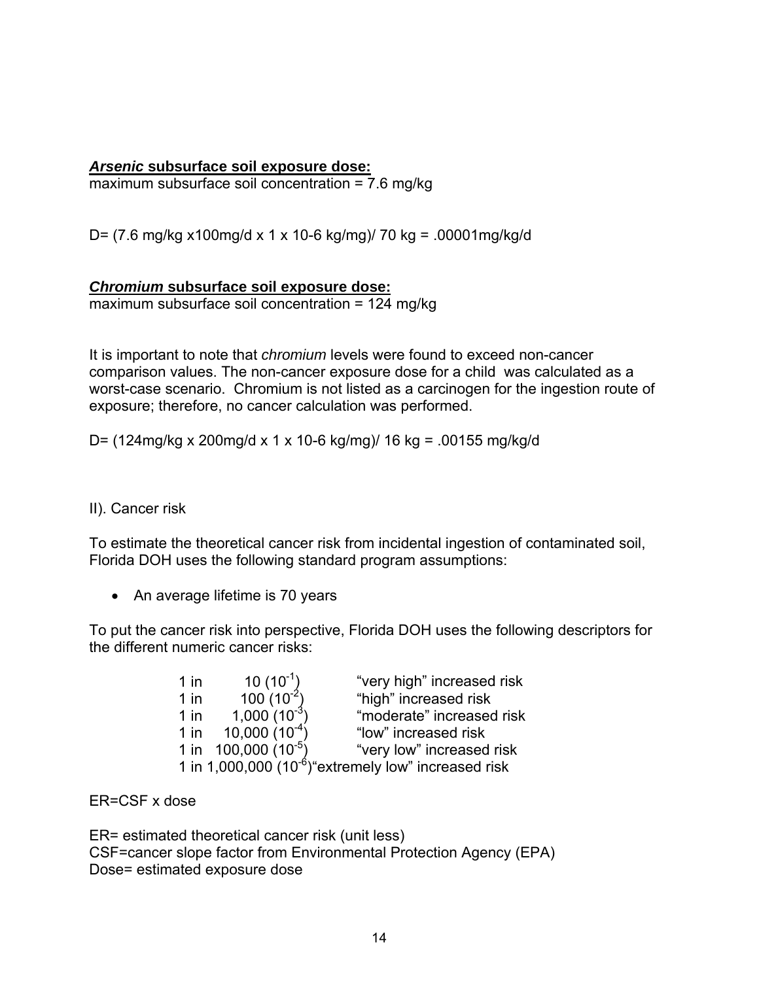# *Arsenic* **subsurface soil exposure dose:**

maximum subsurface soil concentration = 7.6 mg/kg

D= (7.6 mg/kg x100mg/d x 1 x 10-6 kg/mg)/ 70 kg = .00001mg/kg/d

#### *Chromium* **subsurface soil exposure dose:**

 $maximum$  subsurface soil concentration = 124 mg/kg

It is important to note that *chromium* levels were found to exceed non-cancer comparison values. The non-cancer exposure dose for a child was calculated as a worst-case scenario. Chromium is not listed as a carcinogen for the ingestion route of exposure; therefore, no cancer calculation was performed.

D= (124mg/kg x 200mg/d x 1 x 10-6 kg/mg)/ 16 kg = .00155 mg/kg/d

# II). Cancer risk

To estimate the theoretical cancer risk from incidental ingestion of contaminated soil, Florida DOH uses the following standard program assumptions:

• An average lifetime is 70 years

To put the cancer risk into perspective, Florida DOH uses the following descriptors for the different numeric cancer risks:

| $1$ in | $10(10^{-1})$            | "very high" increased risk                                        |
|--------|--------------------------|-------------------------------------------------------------------|
| $1$ in | $100(10^{-2})$           | "high" increased risk                                             |
| $1$ in | $1,000(10^{-3})$         | "moderate" increased risk                                         |
| $1$ in | $10,000(10^{-4})$        | "low" increased risk                                              |
|        | 1 in 100,000 $(10^{-5})$ | "very low" increased risk                                         |
|        |                          | 1 in 1,000,000 (10 <sup>-6</sup> ) "extremely low" increased risk |

ER=CSF x dose

ER= estimated theoretical cancer risk (unit less) CSF=cancer slope factor from Environmental Protection Agency (EPA) Dose= estimated exposure dose